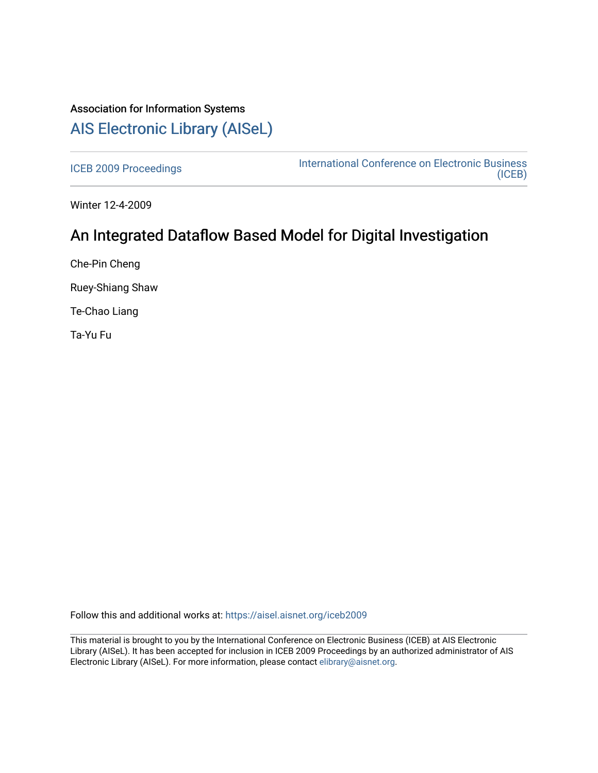# Association for Information Systems [AIS Electronic Library \(AISeL\)](https://aisel.aisnet.org/)

[ICEB 2009 Proceedings](https://aisel.aisnet.org/iceb2009) **International Conference on Electronic Business** [\(ICEB\)](https://aisel.aisnet.org/iceb) 

Winter 12-4-2009

# An Integrated Dataflow Based Model for Digital Investigation

Che-Pin Cheng

Ruey-Shiang Shaw

Te-Chao Liang

Ta-Yu Fu

Follow this and additional works at: [https://aisel.aisnet.org/iceb2009](https://aisel.aisnet.org/iceb2009?utm_source=aisel.aisnet.org%2Ficeb2009%2F67&utm_medium=PDF&utm_campaign=PDFCoverPages)

This material is brought to you by the International Conference on Electronic Business (ICEB) at AIS Electronic Library (AISeL). It has been accepted for inclusion in ICEB 2009 Proceedings by an authorized administrator of AIS Electronic Library (AISeL). For more information, please contact [elibrary@aisnet.org.](mailto:elibrary@aisnet.org%3E)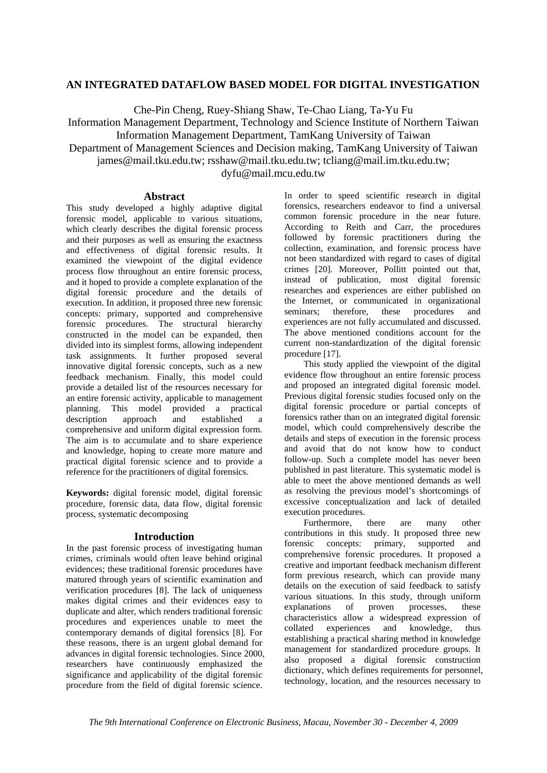# **AN INTEGRATED DATAFLOW BASED MODEL FOR DIGITAL INVESTIGATION**

Che-Pin Cheng, Ruey-Shiang Shaw, Te-Chao Liang, Ta-Yu Fu

Information Management Department, Technology and Science Institute of Northern Taiwan Information Management Department, TamKang University of Taiwan

Department of Management Sciences and Decision making, TamKang University of Taiwan

james@mail.tku.edu.tw; rsshaw@mail.tku.edu.tw; tcliang@mail.im.tku.edu.tw;

dyfu@mail.mcu.edu.tw

# **Abstract**

This study developed a highly adaptive digital forensic model, applicable to various situations, which clearly describes the digital forensic process and their purposes as well as ensuring the exactness and effectiveness of digital forensic results. It examined the viewpoint of the digital evidence process flow throughout an entire forensic process, and it hoped to provide a complete explanation of the digital forensic procedure and the details of execution. In addition, it proposed three new forensic concepts: primary, supported and comprehensive forensic procedures. The structural hierarchy constructed in the model can be expanded, then divided into its simplest forms, allowing independent task assignments. It further proposed several innovative digital forensic concepts, such as a new feedback mechanism. Finally, this model could provide a detailed list of the resources necessary for an entire forensic activity, applicable to management planning. This model provided a practical description approach and established a comprehensive and uniform digital expression form. The aim is to accumulate and to share experience and knowledge, hoping to create more mature and practical digital forensic science and to provide a reference for the practitioners of digital forensics.

**Keywords:** digital forensic model, digital forensic procedure, forensic data, data flow, digital forensic process, systematic decomposing

# **Introduction**

In the past forensic process of investigating human crimes, criminals would often leave behind original evidences; these traditional forensic procedures have matured through years of scientific examination and verification procedures [8]. The lack of uniqueness makes digital crimes and their evidences easy to duplicate and alter, which renders traditional forensic procedures and experiences unable to meet the contemporary demands of digital forensics [8]. For these reasons, there is an urgent global demand for advances in digital forensic technologies. Since 2000, researchers have continuously emphasized the significance and applicability of the digital forensic procedure from the field of digital forensic science.

In order to speed scientific research in digital forensics, researchers endeavor to find a universal common forensic procedure in the near future. According to Reith and Carr, the procedures followed by forensic practitioners during the collection, examination, and forensic process have not been standardized with regard to cases of digital crimes [20]. Moreover, Pollitt pointed out that, instead of publication, most digital forensic researches and experiences are either published on the Internet, or communicated in organizational seminars; therefore, these procedures and experiences are not fully accumulated and discussed. The above mentioned conditions account for the current non-standardization of the digital forensic procedure [17].

This study applied the viewpoint of the digital evidence flow throughout an entire forensic process and proposed an integrated digital forensic model. Previous digital forensic studies focused only on the digital forensic procedure or partial concepts of forensics rather than on an integrated digital forensic model, which could comprehensively describe the details and steps of execution in the forensic process and avoid that do not know how to conduct follow-up. Such a complete model has never been published in past literature. This systematic model is able to meet the above mentioned demands as well as resolving the previous model's shortcomings of excessive conceptualization and lack of detailed execution procedures.

Furthermore, there are many other contributions in this study. It proposed three new forensic concepts: primary, supported and comprehensive forensic procedures. It proposed a creative and important feedback mechanism different form previous research, which can provide many details on the execution of said feedback to satisfy various situations. In this study, through uniform explanations of proven processes, these characteristics allow a widespread expression of collated experiences and knowledge, thus establishing a practical sharing method in knowledge management for standardized procedure groups. It also proposed a digital forensic construction dictionary, which defines requirements for personnel. technology, location, and the resources necessary to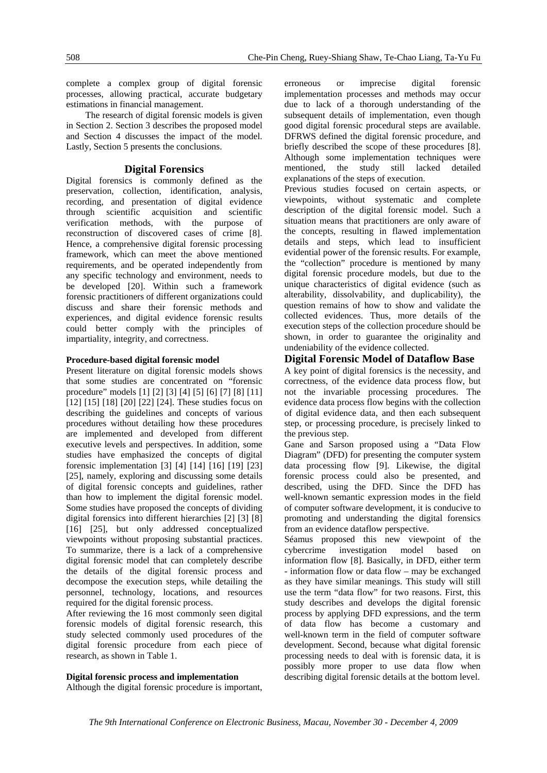complete a complex group of digital forensic processes, allowing practical, accurate budgetary estimations in financial management.

The research of digital forensic models is given in Section 2. Section 3 describes the proposed model and Section 4 discusses the impact of the model. Lastly, Section 5 presents the conclusions.

# **Digital Forensics**

Digital forensics is commonly defined as the preservation, collection, identification, analysis, recording, and presentation of digital evidence through scientific acquisition and scientific verification methods, with the purpose of reconstruction of discovered cases of crime [8]. Hence, a comprehensive digital forensic processing framework, which can meet the above mentioned requirements, and be operated independently from any specific technology and environment, needs to be developed [20]. Within such a framework forensic practitioners of different organizations could discuss and share their forensic methods and experiences, and digital evidence forensic results could better comply with the principles of impartiality, integrity, and correctness.

### **Procedure-based digital forensic model**

Present literature on digital forensic models shows that some studies are concentrated on "forensic procedure" models [1] [2] [3] [4] [5] [6] [7] [8] [11] [12] [15] [18] [20] [22] [24]. These studies focus on describing the guidelines and concepts of various procedures without detailing how these procedures are implemented and developed from different executive levels and perspectives. In addition, some studies have emphasized the concepts of digital forensic implementation [3] [4] [14] [16] [19] [23] [25], namely, exploring and discussing some details of digital forensic concepts and guidelines, rather than how to implement the digital forensic model. Some studies have proposed the concepts of dividing digital forensics into different hierarchies [2] [3] [8] [16] [25], but only addressed conceptualized viewpoints without proposing substantial practices. To summarize, there is a lack of a comprehensive digital forensic model that can completely describe the details of the digital forensic process and decompose the execution steps, while detailing the personnel, technology, locations, and resources required for the digital forensic process.

After reviewing the 16 most commonly seen digital forensic models of digital forensic research, this study selected commonly used procedures of the digital forensic procedure from each piece of research, as shown in Table 1.

**Digital forensic process and implementation**  Although the digital forensic procedure is important, erroneous or imprecise digital forensic implementation processes and methods may occur due to lack of a thorough understanding of the subsequent details of implementation, even though good digital forensic procedural steps are available. DFRWS defined the digital forensic procedure, and briefly described the scope of these procedures [8]. Although some implementation techniques were mentioned, the study still lacked detailed explanations of the steps of execution.

Previous studies focused on certain aspects, or viewpoints, without systematic and complete description of the digital forensic model. Such a situation means that practitioners are only aware of the concepts, resulting in flawed implementation details and steps, which lead to insufficient evidential power of the forensic results. For example, the "collection" procedure is mentioned by many digital forensic procedure models, but due to the unique characteristics of digital evidence (such as alterability, dissolvability, and duplicability), the question remains of how to show and validate the collected evidences. Thus, more details of the execution steps of the collection procedure should be shown, in order to guarantee the originality and undeniability of the evidence collected.

# **Digital Forensic Model of Dataflow Base**

A key point of digital forensics is the necessity, and correctness, of the evidence data process flow, but not the invariable processing procedures. The evidence data process flow begins with the collection of digital evidence data, and then each subsequent step, or processing procedure, is precisely linked to the previous step.

Gane and Sarson proposed using a "Data Flow Diagram" (DFD) for presenting the computer system data processing flow [9]. Likewise, the digital forensic process could also be presented, and described, using the DFD. Since the DFD has well-known semantic expression modes in the field of computer software development, it is conducive to promoting and understanding the digital forensics from an evidence dataflow perspective.

Séamus proposed this new viewpoint of the cybercrime investigation model based on information flow [8]. Basically, in DFD, either term - information flow or data flow – may be exchanged as they have similar meanings. This study will still use the term "data flow" for two reasons. First, this study describes and develops the digital forensic process by applying DFD expressions, and the term of data flow has become a customary and well-known term in the field of computer software development. Second, because what digital forensic processing needs to deal with is forensic data, it is possibly more proper to use data flow when describing digital forensic details at the bottom level.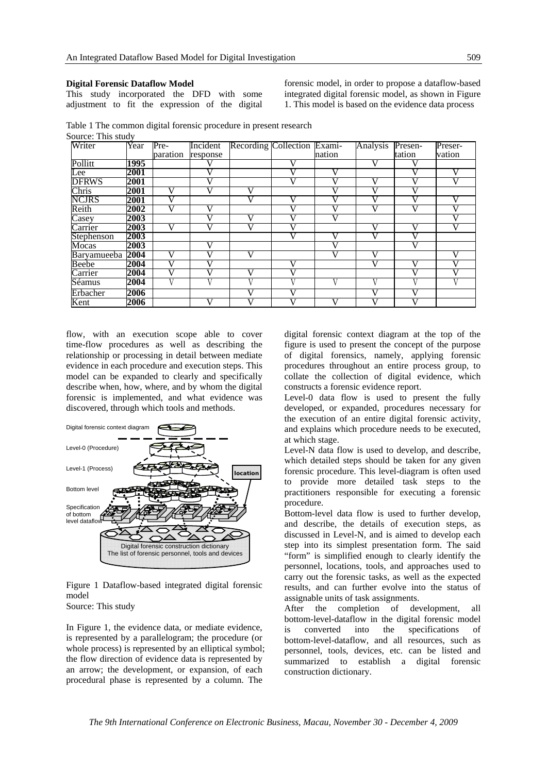#### **Digital Forensic Dataflow Model**

This study incorporated the DFD with some adjustment to fit the expression of the digital forensic model, in order to propose a dataflow-based integrated digital forensic model, as shown in Figure 1. This model is based on the evidence data process

|                    | Table 1 The common digital forensic procedure in present research |  |  |
|--------------------|-------------------------------------------------------------------|--|--|
| Source: This study |                                                                   |  |  |

| Writer       | Year | Pre-     | Incident | Recording Collection Exami- |        | Analysis              | Presen-  | Preser-      |
|--------------|------|----------|----------|-----------------------------|--------|-----------------------|----------|--------------|
|              |      | paration | response |                             | nation |                       | tation   | vation       |
| Pollitt      | 1995 |          |          |                             |        | v                     |          |              |
| Lee          | 2001 |          |          |                             |        |                       | $\bf{V}$ | $\mathbf{V}$ |
| <b>DFRWS</b> | 2001 |          |          |                             |        | V                     |          |              |
| Chris        | 2001 |          |          |                             |        |                       |          |              |
| <b>NCJRS</b> | 2001 |          |          |                             |        |                       |          |              |
| Reith        | 2002 |          |          |                             |        | V                     |          |              |
| Casey        | 2003 |          |          |                             |        |                       |          |              |
| Carrier      | 2003 | V        |          |                             |        | V                     |          |              |
| Stephenson   | 2003 |          |          |                             |        | $\overline{\text{V}}$ |          |              |
| Mocas        | 2003 |          |          |                             |        |                       |          |              |
| Baryamueeba  | 2004 | V        |          |                             |        | V                     |          |              |
| Beebe        | 2004 | V        |          |                             |        | v                     | V        |              |
| Carrier      | 2004 | V        |          | $\bf{V}$                    |        |                       | 17       |              |
| Séamus       | 2004 |          |          |                             |        | ۲.                    |          |              |
| Erbacher     | 2006 |          |          |                             |        |                       |          |              |
| Kent         | 2006 |          |          |                             |        | V                     | v        |              |

flow, with an execution scope able to cover time-flow procedures as well as describing the relationship or processing in detail between mediate evidence in each procedure and execution steps. This model can be expanded to clearly and specifically describe when, how, where, and by whom the digital forensic is implemented, and what evidence was discovered, through which tools and methods.



Figure 1 Dataflow-based integrated digital forensic model Source: This study

In Figure 1, the evidence data, or mediate evidence, is represented by a parallelogram; the procedure (or whole process) is represented by an elliptical symbol; the flow direction of evidence data is represented by an arrow; the development, or expansion, of each procedural phase is represented by a column. The

digital forensic context diagram at the top of the figure is used to present the concept of the purpose of digital forensics, namely, applying forensic procedures throughout an entire process group, to collate the collection of digital evidence, which constructs a forensic evidence report.

Level-0 data flow is used to present the fully developed, or expanded, procedures necessary for the execution of an entire digital forensic activity, and explains which procedure needs to be executed, at which stage.

Level-N data flow is used to develop, and describe, which detailed steps should be taken for any given forensic procedure. This level-diagram is often used to provide more detailed task steps to the practitioners responsible for executing a forensic procedure.

Bottom-level data flow is used to further develop, and describe, the details of execution steps, as discussed in Level-N, and is aimed to develop each step into its simplest presentation form. The said "form" is simplified enough to clearly identify the personnel, locations, tools, and approaches used to carry out the forensic tasks, as well as the expected results, and can further evolve into the status of assignable units of task assignments.

After the completion of development, all bottom-level-dataflow in the digital forensic model is converted into the specifications of bottom-level-dataflow, and all resources, such as personnel, tools, devices, etc. can be listed and summarized to establish a digital forensic construction dictionary.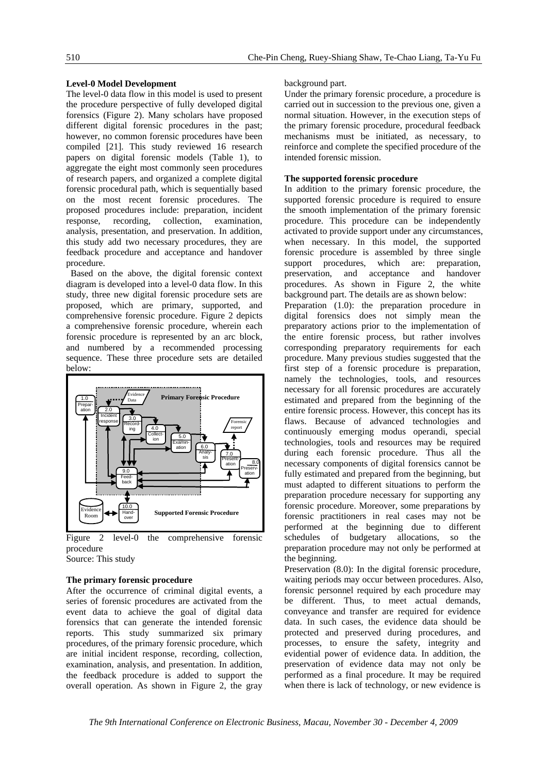# **Level-0 Model Development**

The level-0 data flow in this model is used to present the procedure perspective of fully developed digital forensics (Figure 2). Many scholars have proposed different digital forensic procedures in the past; however, no common forensic procedures have been compiled [21]. This study reviewed 16 research papers on digital forensic models (Table 1), to aggregate the eight most commonly seen procedures of research papers, and organized a complete digital forensic procedural path, which is sequentially based on the most recent forensic procedures. The proposed procedures include: preparation, incident response, recording, collection, examination, analysis, presentation, and preservation. In addition, this study add two necessary procedures, they are feedback procedure and acceptance and handover procedure.

 Based on the above, the digital forensic context diagram is developed into a level-0 data flow. In this study, three new digital forensic procedure sets are proposed, which are primary, supported, and comprehensive forensic procedure. Figure 2 depicts a comprehensive forensic procedure, wherein each forensic procedure is represented by an arc block, and numbered by a recommended processing sequence. These three procedure sets are detailed below:



Figure 2 level-0 the comprehensive forensic procedure

# Source: This study

# **The primary forensic procedure**

After the occurrence of criminal digital events, a series of forensic procedures are activated from the event data to achieve the goal of digital data forensics that can generate the intended forensic reports. This study summarized six primary procedures, of the primary forensic procedure, which are initial incident response, recording, collection, examination, analysis, and presentation. In addition, the feedback procedure is added to support the overall operation. As shown in Figure 2, the gray

### background part.

Under the primary forensic procedure, a procedure is carried out in succession to the previous one, given a normal situation. However, in the execution steps of the primary forensic procedure, procedural feedback mechanisms must be initiated, as necessary, to reinforce and complete the specified procedure of the intended forensic mission.

### **The supported forensic procedure**

In addition to the primary forensic procedure, the supported forensic procedure is required to ensure the smooth implementation of the primary forensic procedure. This procedure can be independently activated to provide support under any circumstances, when necessary. In this model, the supported forensic procedure is assembled by three single support procedures, which are: preparation, preservation, and acceptance and handover procedures. As shown in Figure 2, the white background part. The details are as shown below: Preparation (1.0): the preparation procedure in digital forensics does not simply mean the preparatory actions prior to the implementation of the entire forensic process, but rather involves corresponding preparatory requirements for each procedure. Many previous studies suggested that the first step of a forensic procedure is preparation, namely the technologies, tools, and resources necessary for all forensic procedures are accurately estimated and prepared from the beginning of the entire forensic process. However, this concept has its flaws. Because of advanced technologies and continuously emerging modus operandi, special technologies, tools and resources may be required during each forensic procedure. Thus all the necessary components of digital forensics cannot be fully estimated and prepared from the beginning, but must adapted to different situations to perform the preparation procedure necessary for supporting any forensic procedure. Moreover, some preparations by forensic practitioners in real cases may not be performed at the beginning due to different schedules of budgetary allocations, so the preparation procedure may not only be performed at the beginning.

Preservation (8.0): In the digital forensic procedure, waiting periods may occur between procedures. Also, forensic personnel required by each procedure may be different. Thus, to meet actual demands, conveyance and transfer are required for evidence data. In such cases, the evidence data should be protected and preserved during procedures, and processes, to ensure the safety, integrity and evidential power of evidence data. In addition, the preservation of evidence data may not only be performed as a final procedure. It may be required when there is lack of technology, or new evidence is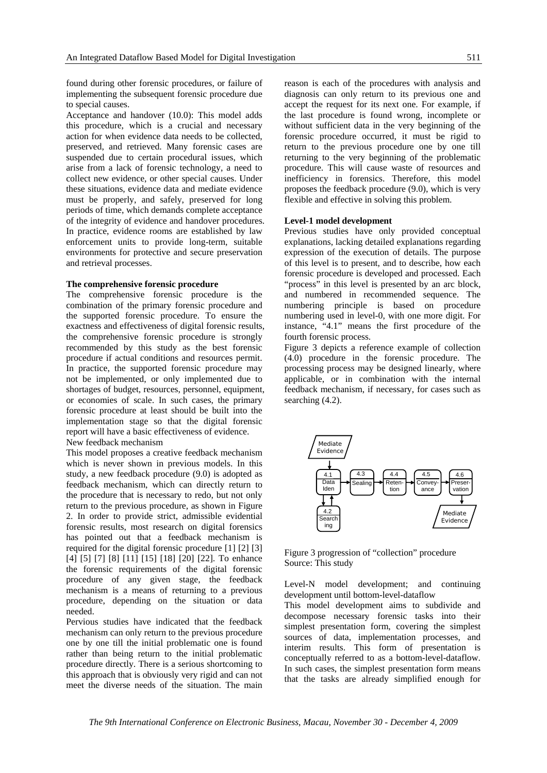found during other forensic procedures, or failure of implementing the subsequent forensic procedure due to special causes.

Acceptance and handover (10.0): This model adds this procedure, which is a crucial and necessary action for when evidence data needs to be collected, preserved, and retrieved. Many forensic cases are suspended due to certain procedural issues, which arise from a lack of forensic technology, a need to collect new evidence, or other special causes. Under these situations, evidence data and mediate evidence must be properly, and safely, preserved for long periods of time, which demands complete acceptance of the integrity of evidence and handover procedures. In practice, evidence rooms are established by law enforcement units to provide long-term, suitable environments for protective and secure preservation and retrieval processes.

### **The comprehensive forensic procedure**

The comprehensive forensic procedure is the combination of the primary forensic procedure and the supported forensic procedure. To ensure the exactness and effectiveness of digital forensic results, the comprehensive forensic procedure is strongly recommended by this study as the best forensic procedure if actual conditions and resources permit. In practice, the supported forensic procedure may not be implemented, or only implemented due to shortages of budget, resources, personnel, equipment, or economies of scale. In such cases, the primary forensic procedure at least should be built into the implementation stage so that the digital forensic report will have a basic effectiveness of evidence. New feedback mechanism

This model proposes a creative feedback mechanism which is never shown in previous models. In this study, a new feedback procedure (9.0) is adopted as feedback mechanism, which can directly return to the procedure that is necessary to redo, but not only return to the previous procedure, as shown in Figure 2. In order to provide strict, admissible evidential forensic results, most research on digital forensics has pointed out that a feedback mechanism is required for the digital forensic procedure [1] [2] [3] [4] [5] [7] [8] [11] [15] [18] [20] [22]. To enhance the forensic requirements of the digital forensic procedure of any given stage, the feedback mechanism is a means of returning to a previous procedure, depending on the situation or data needed.

Pervious studies have indicated that the feedback mechanism can only return to the previous procedure one by one till the initial problematic one is found rather than being return to the initial problematic procedure directly. There is a serious shortcoming to this approach that is obviously very rigid and can not meet the diverse needs of the situation. The main

reason is each of the procedures with analysis and diagnosis can only return to its previous one and accept the request for its next one. For example, if the last procedure is found wrong, incomplete or without sufficient data in the very beginning of the forensic procedure occurred, it must be rigid to return to the previous procedure one by one till returning to the very beginning of the problematic procedure. This will cause waste of resources and inefficiency in forensics. Therefore, this model proposes the feedback procedure (9.0), which is very flexible and effective in solving this problem.

### **Level-1 model development**

Previous studies have only provided conceptual explanations, lacking detailed explanations regarding expression of the execution of details. The purpose of this level is to present, and to describe, how each forensic procedure is developed and processed. Each "process" in this level is presented by an arc block, and numbered in recommended sequence. The numbering principle is based on procedure numbering used in level-0, with one more digit. For instance, "4.1" means the first procedure of the fourth forensic process.

Figure 3 depicts a reference example of collection (4.0) procedure in the forensic procedure. The processing process may be designed linearly, where applicable, or in combination with the internal feedback mechanism, if necessary, for cases such as searching  $(4.2)$ .



Figure 3 progression of "collection" procedure Source: This study

Level-N model development; and continuing development until bottom-level-dataflow

This model development aims to subdivide and decompose necessary forensic tasks into their simplest presentation form, covering the simplest sources of data, implementation processes, and interim results. This form of presentation is conceptually referred to as a bottom-level-dataflow. In such cases, the simplest presentation form means that the tasks are already simplified enough for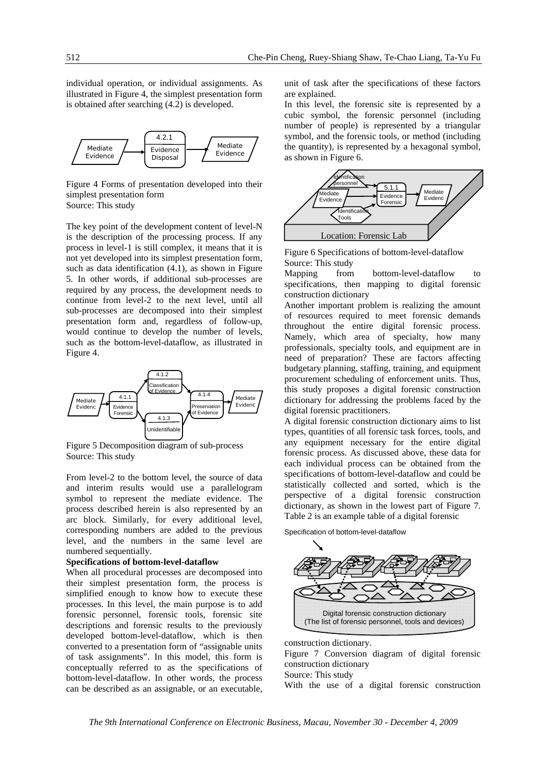individual operation, or individual assignments. As illustrated in Figure 4, the simplest presentation form is obtained after searching (4.2) is developed.



Figure 4 Forms of presentation developed into their simplest presentation form Source: This study

The key point of the development content of level-N is the description of the processing process. If any process in level-1 is still complex, it means that it is not yet developed into its simplest presentation form, such as data identification (4.1), as shown in Figure 5. In other words, if additional sub-processes are required by any process, the development needs to continue from level-2 to the next level, until all sub-processes are decomposed into their simplest presentation form and, regardless of follow-up, would continue to develop the number of levels, such as the bottom-level-dataflow, as illustrated in Figure 4.



Figure 5 Decomposition diagram of sub-process Source: This study

From level-2 to the bottom level, the source of data and interim results would use a parallelogram symbol to represent the mediate evidence. The process described herein is also represented by an arc block. Similarly, for every additional level, corresponding numbers are added to the previous level, and the numbers in the same level are numbered sequentially.

### **Specifications of bottom-level-dataflow**

When all procedural processes are decomposed into their simplest presentation form, the process is simplified enough to know how to execute these processes. In this level, the main purpose is to add forensic personnel, forensic tools, forensic site descriptions and forensic results to the previously developed bottom-level-dataflow, which is then converted to a presentation form of "assignable units of task assignments". In this model, this form is conceptually referred to as the specifications of bottom-level-dataflow. In other words, the process can be described as an assignable, or an executable,

unit of task after the specifications of these factors are explained.

In this level, the forensic site is represented by a cubic symbol, the forensic personnel (including number of people) is represented by a triangular symbol, and the forensic tools, or method (including the quantity), is represented by a hexagonal symbol, as shown in Figure 6.



Figure 6 Specifications of bottom-level-dataflow Source: This study

Mapping from bottom-level-dataflow to specifications, then mapping to digital forensic construction dictionary

Another important problem is realizing the amount of resources required to meet forensic demands throughout the entire digital forensic process. Namely, which area of specialty, how many professionals, specialty tools, and equipment are in need of preparation? These are factors affecting budgetary planning, staffing, training, and equipment procurement scheduling of enforcement units. Thus, this study proposes a digital forensic construction dictionary for addressing the problems faced by the digital forensic practitioners.

A digital forensic construction dictionary aims to list types, quantities of all forensic task forces, tools, and any equipment necessary for the entire digital forensic process. As discussed above, these data for each individual process can be obtained from the specifications of bottom-level-dataflow and could be statistically collected and sorted, which is the perspective of a digital forensic construction dictionary, as shown in the lowest part of Figure 7. Table 2 is an example table of a digital forensic

Specification of bottom-level-dataflow



construction dictionary. Figure 7 Conversion diagram of digital forensic construction dictionary Source: This study With the use of a digital forensic construction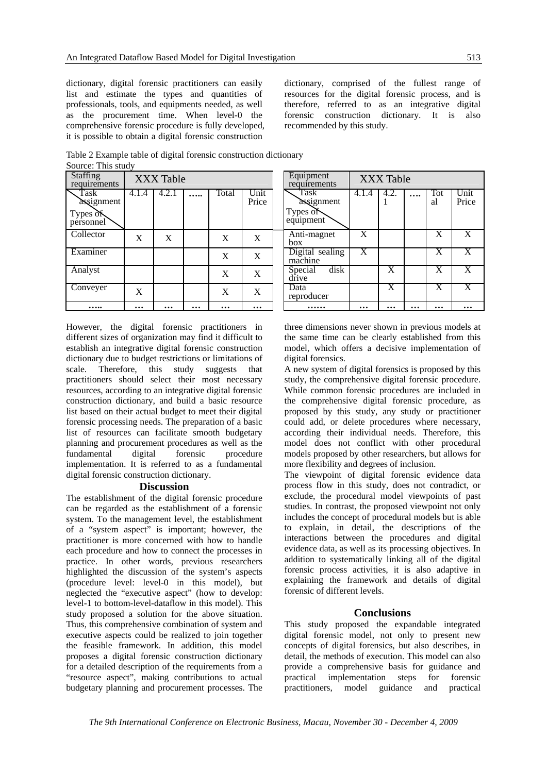dictionary, digital forensic practitioners can easily list and estimate the types and quantities of professionals, tools, and equipments needed, as well as the procurement time. When level-0 the comprehensive forensic procedure is fully developed, it is possible to obtain a digital forensic construction

4.1.4 **4.2.1** …

Staffing<br>requirements

Task assignment

Types of personnel dictionary, comprised of the fullest range of resources for the digital forensic process, and is therefore, referred to as an integrative digital forensic construction dictionary. It is also recommended by this study.

**XXX Table** 

1 **….** Tot

 $X$   $X$   $X$ 

 $X$   $X$   $X$ 

 $X$   $X$   $X$ 

**X** X X

al

4.1.4 4.2.

Table 2 Example table of digital forensic construction dictionary Source: This study

Collector X X X X Anti-magnet

Examiner  $X = X$  Digital sealing

Analyst  $X \times X$  Special disk

Conveyer  $X \mid X \mid X \mid X \mid X$ 

XXX Table<br>
1.4 | 4.2.1 | ..... | Total | Unit | Task

Price

box

drive

**….. … … … … … …… … … … … …** 

machine

Task assignment

Types of equipment

reproducer

However, the digital forensic practitioners in different sizes of organization may find it difficult to establish an integrative digital forensic construction dictionary due to budget restrictions or limitations of scale. Therefore, this study suggests that practitioners should select their most necessary resources, according to an integrative digital forensic construction dictionary, and build a basic resource list based on their actual budget to meet their digital forensic processing needs. The preparation of a basic list of resources can facilitate smooth budgetary planning and procurement procedures as well as the fundamental digital forensic procedure implementation. It is referred to as a fundamental digital forensic construction dictionary.

# **Discussion**

The establishment of the digital forensic procedure can be regarded as the establishment of a forensic system. To the management level, the establishment of a "system aspect" is important; however, the practitioner is more concerned with how to handle each procedure and how to connect the processes in practice. In other words, previous researchers highlighted the discussion of the system's aspects (procedure level: level-0 in this model), but neglected the "executive aspect" (how to develop: level-1 to bottom-level-dataflow in this model). This study proposed a solution for the above situation. Thus, this comprehensive combination of system and executive aspects could be realized to join together the feasible framework. In addition, this model proposes a digital forensic construction dictionary for a detailed description of the requirements from a "resource aspect", making contributions to actual budgetary planning and procurement processes. The

three dimensions never shown in previous models at the same time can be clearly established from this model, which offers a decisive implementation of digital forensics.

A new system of digital forensics is proposed by this study, the comprehensive digital forensic procedure. While common forensic procedures are included in the comprehensive digital forensic procedure, as proposed by this study, any study or practitioner could add, or delete procedures where necessary, according their individual needs. Therefore, this model does not conflict with other procedural models proposed by other researchers, but allows for more flexibility and degrees of inclusion.

The viewpoint of digital forensic evidence data process flow in this study, does not contradict, or exclude, the procedural model viewpoints of past studies. In contrast, the proposed viewpoint not only includes the concept of procedural models but is able to explain, in detail, the descriptions of the interactions between the procedures and digital evidence data, as well as its processing objectives. In addition to systematically linking all of the digital forensic process activities, it is also adaptive in explaining the framework and details of digital forensic of different levels.

### **Conclusions**

This study proposed the expandable integrated digital forensic model, not only to present new concepts of digital forensics, but also describes, in detail, the methods of execution. This model can also provide a comprehensive basis for guidance and practical implementation steps for forensic practitioners, model guidance and practical

Unit Price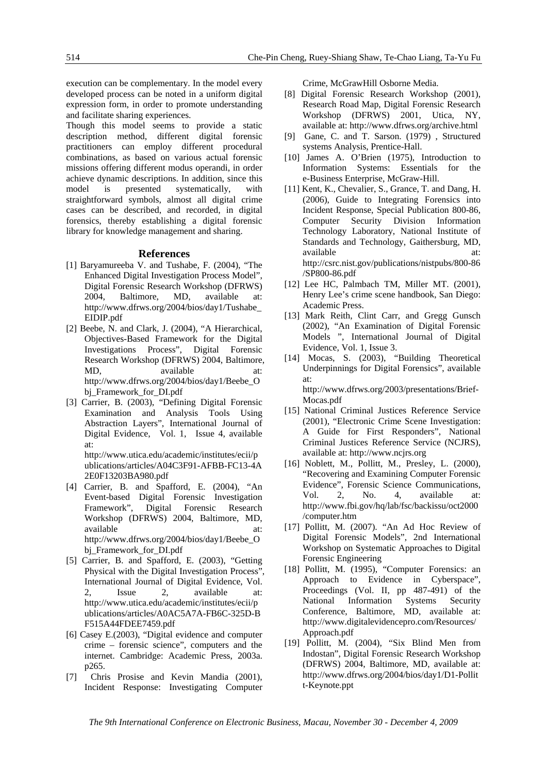execution can be complementary. In the model every developed process can be noted in a uniform digital expression form, in order to promote understanding and facilitate sharing experiences.

Though this model seems to provide a static description method, different digital forensic practitioners can employ different procedural combinations, as based on various actual forensic missions offering different modus operandi, in order achieve dynamic descriptions. In addition, since this model is presented systematically, with straightforward symbols, almost all digital crime cases can be described, and recorded, in digital forensics, thereby establishing a digital forensic library for knowledge management and sharing.

### **References**

- [1] Baryamureeba V. and Tushabe, F. (2004), "The Enhanced Digital Investigation Process Model", Digital Forensic Research Workshop (DFRWS) 2004, Baltimore, MD, available at: http://www.dfrws.org/2004/bios/day1/Tushabe\_ EIDIP.pdf
- [2] Beebe, N. and Clark, J. (2004), "A Hierarchical, Objectives-Based Framework for the Digital Investigations Process", Digital Forensic Research Workshop (DFRWS) 2004, Baltimore, MD, available at: http://www.dfrws.org/2004/bios/day1/Beebe\_O bj Framework for DI.pdf
- [3] Carrier, B. (2003), "Defining Digital Forensic Examination and Analysis Tools Using Abstraction Layers", International Journal of Digital Evidence, Vol. 1, Issue 4, available at:

http://www.utica.edu/academic/institutes/ecii/p ublications/articles/A04C3F91-AFBB-FC13-4A 2E0F13203BA980.pdf

- [4] Carrier, B. and Spafford, E. (2004), "An Event-based Digital Forensic Investigation Framework", Digital Forensic Research Workshop (DFRWS) 2004, Baltimore, MD, available at: at: http://www.dfrws.org/2004/bios/day1/Beebe\_O bj\_Framework\_for\_DI.pdf
- [5] Carrier, B. and Spafford, E. (2003), "Getting Physical with the Digital Investigation Process", International Journal of Digital Evidence, Vol. 2, Issue 2, available at: http://www.utica.edu/academic/institutes/ecii/p ublications/articles/A0AC5A7A-FB6C-325D-B F515A44FDEE7459.pdf
- [6] Casey E.(2003), "Digital evidence and computer crime – forensic science", computers and the internet. Cambridge: Academic Press, 2003a. p265.
- [7] Chris Prosise and Kevin Mandia (2001), Incident Response: Investigating Computer

Crime, McGrawHill Osborne Media.

- [8] Digital Forensic Research Workshop (2001), Research Road Map, Digital Forensic Research Workshop (DFRWS) 2001, Utica, NY, available at: http://www.dfrws.org/archive.html
- [9] Gane, C. and T. Sarson. (1979), Structured systems Analysis, Prentice-Hall.
- [10] James A. O'Brien (1975), Introduction to Information Systems: Essentials for the e-Business Enterprise, McGraw-Hill.
- [11] Kent, K., Chevalier, S., Grance, T. and Dang, H. (2006), Guide to Integrating Forensics into Incident Response, Special Publication 800-86, Computer Security Division Information Technology Laboratory, National Institute of Standards and Technology, Gaithersburg, MD, available at: at: http://csrc.nist.gov/publications/nistpubs/800-86 /SP800-86.pdf
- [12] Lee HC, Palmbach TM, Miller MT. (2001), Henry Lee's crime scene handbook, San Diego: Academic Press.
- [13] Mark Reith, Clint Carr, and Gregg Gunsch (2002), "An Examination of Digital Forensic Models ", International Journal of Digital Evidence, Vol. 1, Issue 3.
- [14] Mocas, S. (2003), "Building Theoretical Underpinnings for Digital Forensics", available at: http://www.dfrws.org/2003/presentations/Brief-

Mocas.pdf

- [15] National Criminal Justices Reference Service (2001), "Electronic Crime Scene Investigation: A Guide for First Responders", National Criminal Justices Reference Service (NCJRS), available at: http://www.ncjrs.org
- [16] Noblett, M., Pollitt, M., Presley, L. (2000), "Recovering and Examining Computer Forensic Evidence", Forensic Science Communications, Vol. 2, No. 4, available at: http://www.fbi.gov/hq/lab/fsc/backissu/oct2000 /computer.htm
- [17] Pollitt, M. (2007). "An Ad Hoc Review of Digital Forensic Models", 2nd International Workshop on Systematic Approaches to Digital Forensic Engineering
- [18] Pollitt, M. (1995), "Computer Forensics: an Approach to Evidence in Cyberspace", Proceedings (Vol. II, pp 487-491) of the National Information Systems Security Conference, Baltimore, MD, available at: http://www.digitalevidencepro.com/Resources/ Approach.pdf
- [19] Pollitt, M. (2004), "Six Blind Men from Indostan", Digital Forensic Research Workshop (DFRWS) 2004, Baltimore, MD, available at: http://www.dfrws.org/2004/bios/day1/D1-Pollit t-Keynote.ppt